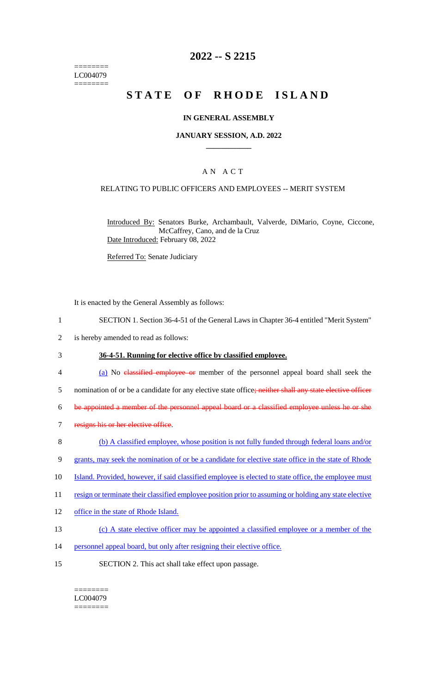======== LC004079 ========

# **2022 -- S 2215**

# **STATE OF RHODE ISLAND**

### **IN GENERAL ASSEMBLY**

### **JANUARY SESSION, A.D. 2022 \_\_\_\_\_\_\_\_\_\_\_\_**

### A N A C T

### RELATING TO PUBLIC OFFICERS AND EMPLOYEES -- MERIT SYSTEM

Introduced By: Senators Burke, Archambault, Valverde, DiMario, Coyne, Ciccone, McCaffrey, Cano, and de la Cruz Date Introduced: February 08, 2022

Referred To: Senate Judiciary

It is enacted by the General Assembly as follows:

- 1 SECTION 1. Section 36-4-51 of the General Laws in Chapter 36-4 entitled "Merit System"
- 2 is hereby amended to read as follows:
- 3 **36-4-51. Running for elective office by classified employee.**
- 4 (a) No classified employee or member of the personnel appeal board shall seek the
- 5 nomination of or be a candidate for any elective state office; neither shall any state elective officer

6 be appointed a member of the personnel appeal board or a classified employee unless he or she

- 7 resigns his or her elective office.
- 8 (b) A classified employee, whose position is not fully funded through federal loans and/or
- 9 grants, may seek the nomination of or be a candidate for elective state office in the state of Rhode
- 10 Island. Provided, however, if said classified employee is elected to state office, the employee must
- 11 resign or terminate their classified employee position prior to assuming or holding any state elective
- 12 office in the state of Rhode Island.
- 13 (c) A state elective officer may be appointed a classified employee or a member of the
- 14 personnel appeal board, but only after resigning their elective office.
- 15 SECTION 2. This act shall take effect upon passage.

#### ======== LC004079

========